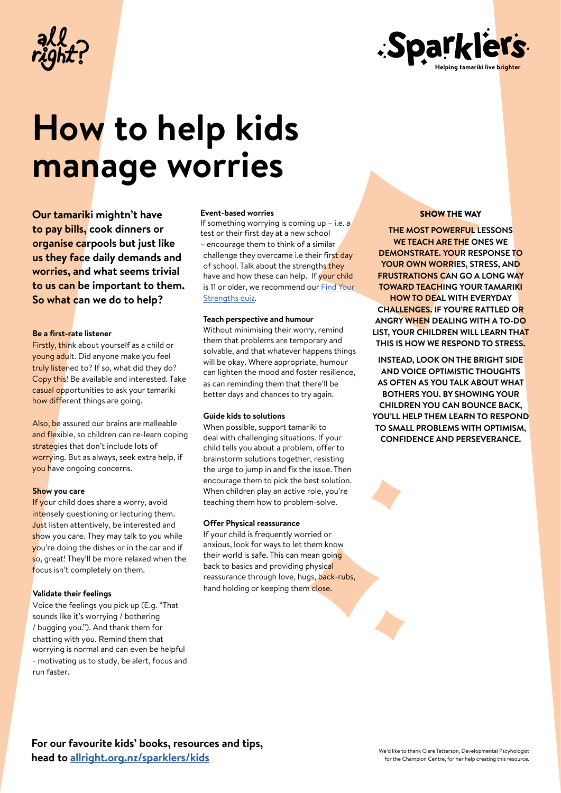



# **How to help kids manage worries**

**Our tamariki mightn't have to pay bills, cook dinners or organise carpools but just like us they face daily demands and worries, and what seems trivial to us can be important to them. So what can we do to help?**

#### **Be a first-rate listener**

Firstly, think about yourself as a child or young adult. Did anyone make you feel truly listened to? If so, what did they do? Copy this! Be available and interested. Take casual opportunities to ask your tamariki how different things are going.

Also, be assured our brains are malleable and flexible, so children can re-learn coping strategies that don't include lots of worrying. But as always, seek extra help, if you have ongoing concerns.

### **Show** you care

If your child does share a worry, avoid intensely questioning or lecturing them. Just listen attentively, be interested and show you care. They may talk to you while you're doing the dishes or in the car and if so, great! They'll be more relaxed when the focus isn't completely on them.

#### **Validate their feelings**

Voice the feelings you pick up (E.g. "That sounds like it's worrying / bothering / bugging you."). And thank them for chatting with you. Remind them that worrying is normal and can even be helpful - motivating us to study, be alert, focus and run faster.

#### **Event-based worries**

If something worrying is coming up  $-$  i.e. a test or their first day at a new school – encourage them to think of a similar challenge they overcame i.e their first day of school. Talk about the strengths they have and how these can help. If your child [is 11 or older, we recommend our](http://www.allright.org.nz/tools/strengths/) Find Your Strengths quiz.

#### **Teach perspective and humour**

Without minimising their worry, remind them that problems are temporary and solvable, and that whatever happens things will be okay. Where appropriate, humour can lighten the mood and foster resilience, as can reminding them that there'll be better days and chances to try again.

#### **Guide kids to solutions**

When possible, support tamariki to deal with challenging situations. If your child tells you about a problem, offerto brainstorm solutions together, resisting the urge to jump in and fix the issue. Then encourage them to pick the best solution. When children play an active role, you're teaching them how to problem-solve.

#### **Offer Physical reassurance**

If your child is frequently worried or anxious, look for ways to let them know their world is safe. This can mean going back to basics and providing physical reassurance through love, hugs, back-rubs, hand holding or keeping them close.

#### SHOW THE WAY

**THE MOST POWERFUL LESSONS WE TEACH ARE THE ONES WE DEMONSTRATE. YOUR RESPONSE TO YOUR OWN WORRIES, STRESS, AND FRUSTRATIONS CAN GO A LONG WAY TOWARD TEACHING YOUR TAMARIKI HOW TO DEAL WITH EVERYDAY CHALLENGES. IF YOU'RE RATTLED OR ANGRY WHEN DEALING WITH A TO-DO LIST, YOUR CHILDREN WILL LEARN THAT THIS IS HOW WE RESPOND TO STRESS.**

**INSTEAD, LOOK ON THE BRIGHT SIDE AND VOICE OPTIMISTIC THOUGHTS AS OFTEN AS YOU TALK ABOUT WHAT BOTHERS YOU. BY SHOWING YOUR CHILDREN YOU CAN BOUNCE BACK, YOU'LL HELP THEM LEARN TO RESPOND TO SMALL PROBLEMS WITH OPTIMISM, CONFIDENCE AND PERSEVERANCE.**